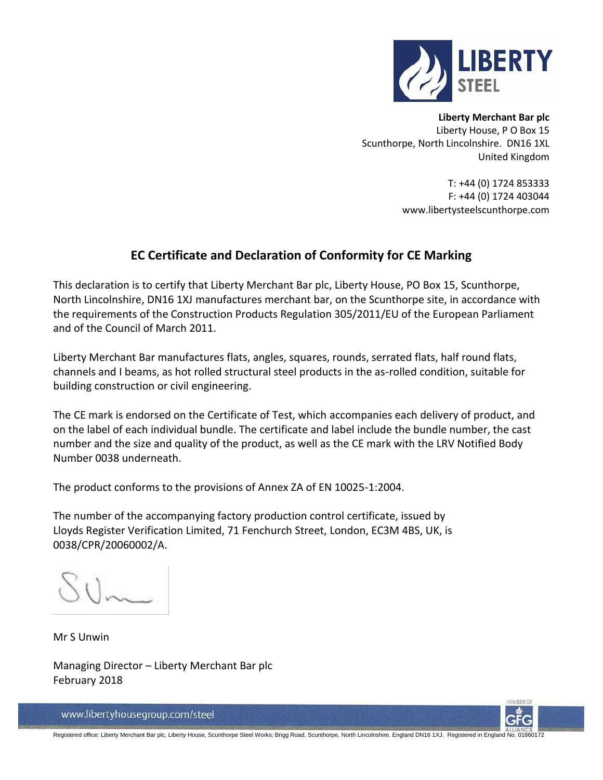

**Liberty Merchant Bar plc** Liberty House, P O Box 15 Scunthorpe, North Lincolnshire. DN16 1XL United Kingdom

> T: +44 (0) 1724 853333 F: +44 (0) 1724 403044 www.libertysteelscunthorpe.com

### **EC Certificate and Declaration of Conformity for CE Marking**

This declaration is to certify that Liberty Merchant Bar plc, Liberty House, PO Box 15, Scunthorpe, North Lincolnshire, DN16 1XJ manufactures merchant bar, on the Scunthorpe site, in accordance with the requirements of the Construction Products Regulation 305/2011/EU of the European Parliament and of the Council of March 2011.

Liberty Merchant Bar manufactures flats, angles, squares, rounds, serrated flats, half round flats, channels and I beams, as hot rolled structural steel products in the as-rolled condition, suitable for building construction or civil engineering.

The CE mark is endorsed on the Certificate of Test, which accompanies each delivery of product, and on the label of each individual bundle. The certificate and label include the bundle number, the cast number and the size and quality of the product, as well as the CE mark with the LRV Notified Body Number 0038 underneath.

The product conforms to the provisions of Annex ZA of EN 10025-1:2004.

The number of the accompanying factory production control certificate, issued by Lloyds Register Verification Limited, 71 Fenchurch Street, London, EC3M 4BS, UK, is 0038/CPR/20060002/A.

Mr S Unwin

Managing Director – Liberty Merchant Bar plc February 2018



www.libertyhousegroup.com/steel

Registered office: Liberty Merchant Bar plc, Liberty House, Scunthorpe Steel Works; Brigg Road, Scunthorpe, North Lincolnshire. England DN16 1XJ. Registered in England No. 01860172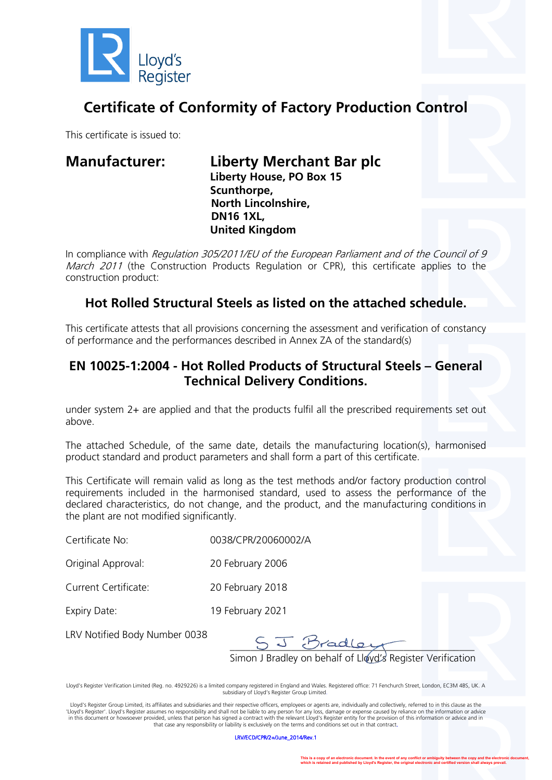

# **Certificate of Conformity of Factory Production Control**

This certificate is issued to:

**Manufacturer: Liberty Merchant Bar plc Liberty House, PO Box 15 Scunthorpe, North Lincolnshire, DN16 1XL, United Kingdom**

In compliance with Regulation 305/2011/EU of the European Parliament and of the Council of 9 March 2011 (the Construction Products Regulation or CPR), this certificate applies to the construction product:

## **Hot Rolled Structural Steels as listed on the attached schedule.**

This certificate attests that all provisions concerning the assessment and verification of constancy of performance and the performances described in Annex ZA of the standard(s)

### **EN 10025-1:2004 - Hot Rolled Products of Structural Steels – General Technical Delivery Conditions.**

under system 2+ are applied and that the products fulfil all the prescribed requirements set out above.

The attached Schedule, of the same date, details the manufacturing location(s), harmonised product standard and product parameters and shall form a part of this certificate.

This Certificate will remain valid as long as the test methods and/or factory production control requirements included in the harmonised standard, used to assess the performance of the declared characteristics, do not change, and the product, and the manufacturing conditions in the plant are not modified significantly.

| Certificate No:    | 0038/CPR/20060002/A |
|--------------------|---------------------|
| Original Approval: | 20 February 2006    |

Current Certificate: 20 February 2018

Expiry Date: 19 February 2021

LRV Notified Body Number 0038

 $\Box$ 

Simon J Bradley on behalf of Lloyd's Register Verification

Lloyd's Register Verification Limited (Reg. no. 4929226) is a limited company registered in England and Wales. Registered office: 71 Fenchurch Street, London, EC3M 4BS, UK. A subsidiary of Lloyd's Register Group Limited.

Lloyd's Register Group Limited, its affiliates and subsidiaries and their respective officers, employees or agents are, individually and collectively, referred to in this clause as the 'Lloyd's Register'. Lloyd's Register assumes no responsibility and shall not be liable to any person for any loss, damage or expense caused by reliance on the information or advice in this document or howsoever provided, unless that person has signed a contract with the relevant Lloyd's Register entity for the provision of this information or advice and in that case any responsibility or liability is exclusively on the terms and conditions set out in that contract.

LRV/ECD/CPR/2+/June\_2014/Rev.1